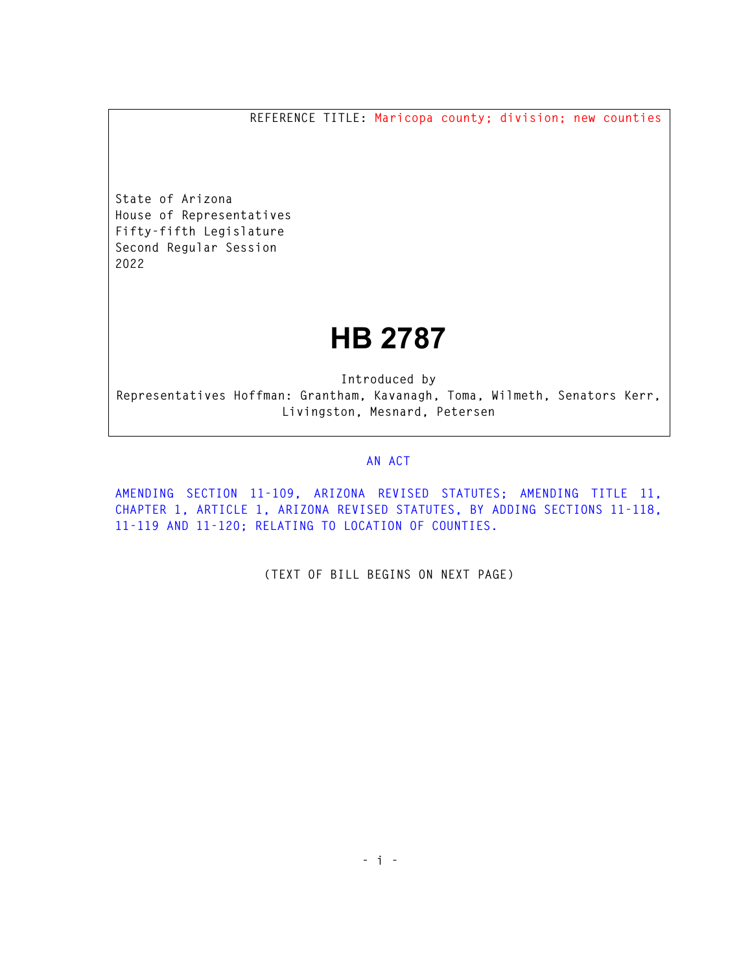**REFERENCE TITLE: Maricopa county; division; new counties** 

**State of Arizona House of Representatives Fifty-fifth Legislature Second Regular Session 2022** 

## **HB 2787**

**Introduced by Representatives Hoffman: Grantham, Kavanagh, Toma, Wilmeth, Senators Kerr, Livingston, Mesnard, Petersen** 

## **AN ACT**

**AMENDING SECTION 11-109, ARIZONA REVISED STATUTES; AMENDING TITLE 11, CHAPTER 1, ARTICLE 1, ARIZONA REVISED STATUTES, BY ADDING SECTIONS 11-118, 11-119 AND 11-120; RELATING TO LOCATION OF COUNTIES.** 

**(TEXT OF BILL BEGINS ON NEXT PAGE)**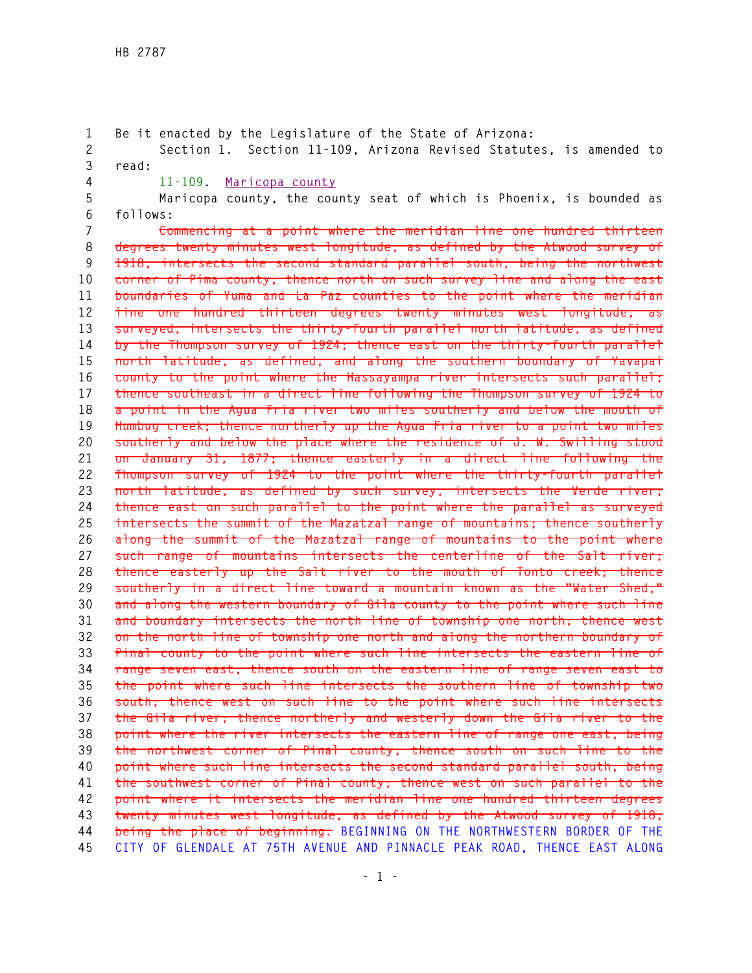**1 Be it enacted by the Legislature of the State of Arizona: 2 Section 1. Section 11-109, Arizona Revised Statutes, is amended to 3 read: 4 11-109. Maricopa county 5 Maricopa county, the county seat of which is Phoenix, is bounded as 6 follows: 7 Commencing at a point where the meridian line one hundred thirteen 8 degrees twenty minutes west longitude, as defined by the Atwood survey of 9 1918, intersects the second standard parallel south, being the northwest 10 corner of Pima county; thence north on such survey line and along the east 11 boundaries of Yuma and La Paz counties to the point where the meridian 12 line one hundred thirteen degrees twenty minutes west longitude, as 13 surveyed, intersects the thirty-fourth parallel north latitude, as defined 14 by the Thompson survey of 1924; thence east on the thirty-fourth parallel 15 north latitude, as defined, and along the southern boundary of Yavapai 16 county to the point where the Hassayampa river intersects such parallel; 17 thence southeast in a direct line following the Thompson survey of 1924 to 18 a point in the Agua Fria river two miles southerly and below the mouth of 19 Humbug creek; thence northerly up the Agua Fria river to a point two miles 20 southerly and below the place where the residence of J. W. Swilling stood 21 on January 31, 1877; thence easterly in a direct line following the 22 Thompson survey of 1924 to the point where the thirty-fourth parallel 23 north latitude, as defined by such survey, intersects the Verde river; 24 thence east on such parallel to the point where the parallel as surveyed 25 intersects the summit of the Mazatzal range of mountains; thence southerly 26 along the summit of the Mazatzal range of mountains to the point where 27 such range of mountains intersects the centerline of the Salt river; 28 thence easterly up the Salt river to the mouth of Tonto creek; thence 29 southerly in a direct line toward a mountain known as the "Water Shed," 30 and along the western boundary of Gila county to the point where such line 31 and boundary intersects the north line of township one north; thence west 32 on the north line of township one north and along the northern boundary of 33 Pinal county to the point where such line intersects the eastern line of 34 range seven east; thence south on the eastern line of range seven east to 35 the point where such line intersects the southern line of township two 36 south; thence west on such line to the point where such line intersects 37 the Gila river; thence northerly and westerly down the Gila river to the 38 point where the river intersects the eastern line of range one east, being 39 the northwest corner of Pinal county; thence south on such line to the 40 point where such line intersects the second standard parallel south, being 41 the southwest corner of Pinal county; thence west on such parallel to the 42 point where it intersects the meridian line one hundred thirteen degrees 43 twenty minutes west longitude, as defined by the Atwood survey of 1918, 44 being the place of beginning. BEGINNING ON THE NORTHWESTERN BORDER OF THE 45 CITY OF GLENDALE AT 75TH AVENUE AND PINNACLE PEAK ROAD, THENCE EAST ALONG**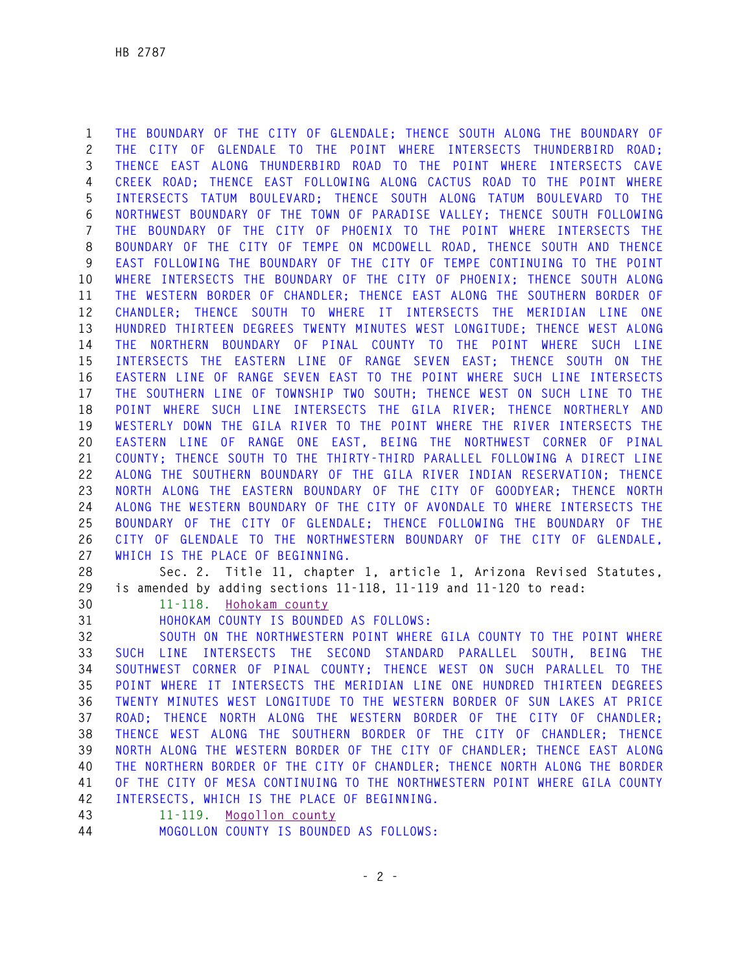**1 THE BOUNDARY OF THE CITY OF GLENDALE; THENCE SOUTH ALONG THE BOUNDARY OF 2 THE CITY OF GLENDALE TO THE POINT WHERE INTERSECTS THUNDERBIRD ROAD; 3 THENCE EAST ALONG THUNDERBIRD ROAD TO THE POINT WHERE INTERSECTS CAVE 4 CREEK ROAD; THENCE EAST FOLLOWING ALONG CACTUS ROAD TO THE POINT WHERE 5 INTERSECTS TATUM BOULEVARD; THENCE SOUTH ALONG TATUM BOULEVARD TO THE 6 NORTHWEST BOUNDARY OF THE TOWN OF PARADISE VALLEY; THENCE SOUTH FOLLOWING 7 THE BOUNDARY OF THE CITY OF PHOENIX TO THE POINT WHERE INTERSECTS THE 8 BOUNDARY OF THE CITY OF TEMPE ON MCDOWELL ROAD, THENCE SOUTH AND THENCE 9 EAST FOLLOWING THE BOUNDARY OF THE CITY OF TEMPE CONTINUING TO THE POINT 10 WHERE INTERSECTS THE BOUNDARY OF THE CITY OF PHOENIX; THENCE SOUTH ALONG 11 THE WESTERN BORDER OF CHANDLER; THENCE EAST ALONG THE SOUTHERN BORDER OF 12 CHANDLER; THENCE SOUTH TO WHERE IT INTERSECTS THE MERIDIAN LINE ONE 13 HUNDRED THIRTEEN DEGREES TWENTY MINUTES WEST LONGITUDE; THENCE WEST ALONG 14 THE NORTHERN BOUNDARY OF PINAL COUNTY TO THE POINT WHERE SUCH LINE 15 INTERSECTS THE EASTERN LINE OF RANGE SEVEN EAST; THENCE SOUTH ON THE 16 EASTERN LINE OF RANGE SEVEN EAST TO THE POINT WHERE SUCH LINE INTERSECTS 17 THE SOUTHERN LINE OF TOWNSHIP TWO SOUTH; THENCE WEST ON SUCH LINE TO THE 18 POINT WHERE SUCH LINE INTERSECTS THE GILA RIVER; THENCE NORTHERLY AND 19 WESTERLY DOWN THE GILA RIVER TO THE POINT WHERE THE RIVER INTERSECTS THE 20 EASTERN LINE OF RANGE ONE EAST, BEING THE NORTHWEST CORNER OF PINAL 21 COUNTY; THENCE SOUTH TO THE THIRTY-THIRD PARALLEL FOLLOWING A DIRECT LINE 22 ALONG THE SOUTHERN BOUNDARY OF THE GILA RIVER INDIAN RESERVATION; THENCE 23 NORTH ALONG THE EASTERN BOUNDARY OF THE CITY OF GOODYEAR; THENCE NORTH 24 ALONG THE WESTERN BOUNDARY OF THE CITY OF AVONDALE TO WHERE INTERSECTS THE 25 BOUNDARY OF THE CITY OF GLENDALE; THENCE FOLLOWING THE BOUNDARY OF THE 26 CITY OF GLENDALE TO THE NORTHWESTERN BOUNDARY OF THE CITY OF GLENDALE, 27 WHICH IS THE PLACE OF BEGINNING.** 

**28 Sec. 2. Title 11, chapter 1, article 1, Arizona Revised Statutes, 29 is amended by adding sections 11-118, 11-119 and 11-120 to read:** 

**30 11-118. Hohokam county** 

**31 HOHOKAM COUNTY IS BOUNDED AS FOLLOWS:** 

**32 SOUTH ON THE NORTHWESTERN POINT WHERE GILA COUNTY TO THE POINT WHERE 33 SUCH LINE INTERSECTS THE SECOND STANDARD PARALLEL SOUTH, BEING THE 34 SOUTHWEST CORNER OF PINAL COUNTY; THENCE WEST ON SUCH PARALLEL TO THE 35 POINT WHERE IT INTERSECTS THE MERIDIAN LINE ONE HUNDRED THIRTEEN DEGREES 36 TWENTY MINUTES WEST LONGITUDE TO THE WESTERN BORDER OF SUN LAKES AT PRICE 37 ROAD; THENCE NORTH ALONG THE WESTERN BORDER OF THE CITY OF CHANDLER; 38 THENCE WEST ALONG THE SOUTHERN BORDER OF THE CITY OF CHANDLER; THENCE 39 NORTH ALONG THE WESTERN BORDER OF THE CITY OF CHANDLER; THENCE EAST ALONG 40 THE NORTHERN BORDER OF THE CITY OF CHANDLER; THENCE NORTH ALONG THE BORDER 41 OF THE CITY OF MESA CONTINUING TO THE NORTHWESTERN POINT WHERE GILA COUNTY 42 INTERSECTS, WHICH IS THE PLACE OF BEGINNING.** 

**43 11-119. Mogollon county** 

**44 MOGOLLON COUNTY IS BOUNDED AS FOLLOWS:**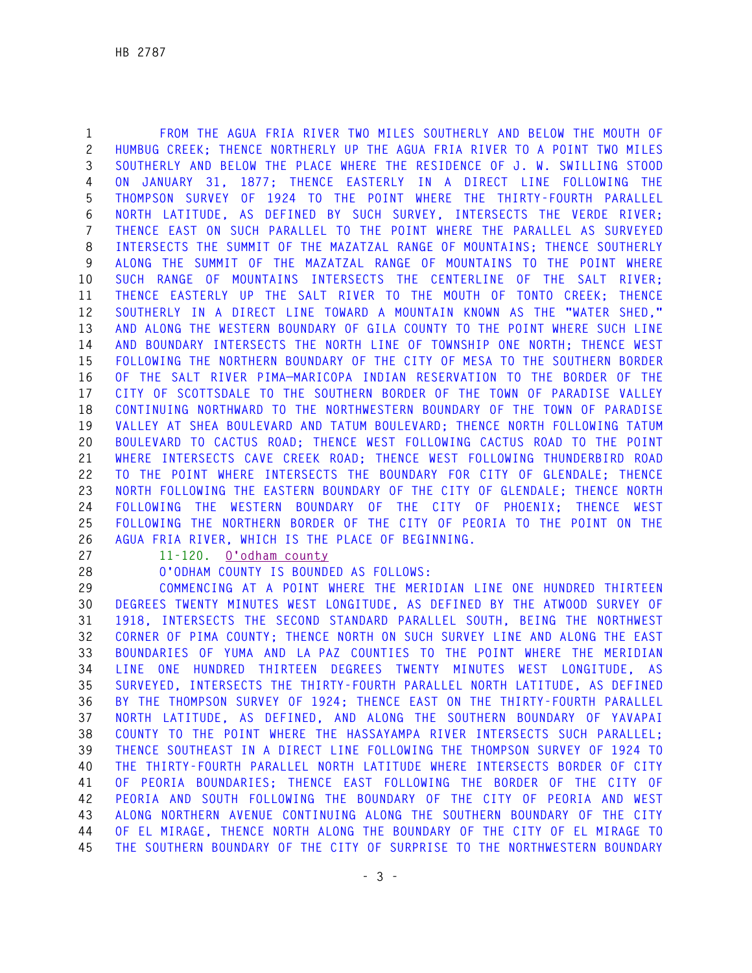**1 FROM THE AGUA FRIA RIVER TWO MILES SOUTHERLY AND BELOW THE MOUTH OF 2 HUMBUG CREEK; THENCE NORTHERLY UP THE AGUA FRIA RIVER TO A POINT TWO MILES 3 SOUTHERLY AND BELOW THE PLACE WHERE THE RESIDENCE OF J. W. SWILLING STOOD 4 ON JANUARY 31, 1877; THENCE EASTERLY IN A DIRECT LINE FOLLOWING THE 5 THOMPSON SURVEY OF 1924 TO THE POINT WHERE THE THIRTY-FOURTH PARALLEL 6 NORTH LATITUDE, AS DEFINED BY SUCH SURVEY, INTERSECTS THE VERDE RIVER; 7 THENCE EAST ON SUCH PARALLEL TO THE POINT WHERE THE PARALLEL AS SURVEYED 8 INTERSECTS THE SUMMIT OF THE MAZATZAL RANGE OF MOUNTAINS; THENCE SOUTHERLY 9 ALONG THE SUMMIT OF THE MAZATZAL RANGE OF MOUNTAINS TO THE POINT WHERE 10 SUCH RANGE OF MOUNTAINS INTERSECTS THE CENTERLINE OF THE SALT RIVER; 11 THENCE EASTERLY UP THE SALT RIVER TO THE MOUTH OF TONTO CREEK; THENCE 12 SOUTHERLY IN A DIRECT LINE TOWARD A MOUNTAIN KNOWN AS THE "WATER SHED," 13 AND ALONG THE WESTERN BOUNDARY OF GILA COUNTY TO THE POINT WHERE SUCH LINE 14 AND BOUNDARY INTERSECTS THE NORTH LINE OF TOWNSHIP ONE NORTH; THENCE WEST 15 FOLLOWING THE NORTHERN BOUNDARY OF THE CITY OF MESA TO THE SOUTHERN BORDER 16 OF THE SALT RIVER PIMA—MARICOPA INDIAN RESERVATION TO THE BORDER OF THE 17 CITY OF SCOTTSDALE TO THE SOUTHERN BORDER OF THE TOWN OF PARADISE VALLEY 18 CONTINUING NORTHWARD TO THE NORTHWESTERN BOUNDARY OF THE TOWN OF PARADISE 19 VALLEY AT SHEA BOULEVARD AND TATUM BOULEVARD; THENCE NORTH FOLLOWING TATUM 20 BOULEVARD TO CACTUS ROAD; THENCE WEST FOLLOWING CACTUS ROAD TO THE POINT 21 WHERE INTERSECTS CAVE CREEK ROAD; THENCE WEST FOLLOWING THUNDERBIRD ROAD 22 TO THE POINT WHERE INTERSECTS THE BOUNDARY FOR CITY OF GLENDALE; THENCE 23 NORTH FOLLOWING THE EASTERN BOUNDARY OF THE CITY OF GLENDALE; THENCE NORTH 24 FOLLOWING THE WESTERN BOUNDARY OF THE CITY OF PHOENIX; THENCE WEST 25 FOLLOWING THE NORTHERN BORDER OF THE CITY OF PEORIA TO THE POINT ON THE 26 AGUA FRIA RIVER, WHICH IS THE PLACE OF BEGINNING.** 

**27 11-120. O'odham county** 

**28 O'ODHAM COUNTY IS BOUNDED AS FOLLOWS:** 

**29 COMMENCING AT A POINT WHERE THE MERIDIAN LINE ONE HUNDRED THIRTEEN 30 DEGREES TWENTY MINUTES WEST LONGITUDE, AS DEFINED BY THE ATWOOD SURVEY OF 31 1918, INTERSECTS THE SECOND STANDARD PARALLEL SOUTH, BEING THE NORTHWEST 32 CORNER OF PIMA COUNTY; THENCE NORTH ON SUCH SURVEY LINE AND ALONG THE EAST 33 BOUNDARIES OF YUMA AND LA PAZ COUNTIES TO THE POINT WHERE THE MERIDIAN 34 LINE ONE HUNDRED THIRTEEN DEGREES TWENTY MINUTES WEST LONGITUDE, AS 35 SURVEYED, INTERSECTS THE THIRTY-FOURTH PARALLEL NORTH LATITUDE, AS DEFINED 36 BY THE THOMPSON SURVEY OF 1924; THENCE EAST ON THE THIRTY-FOURTH PARALLEL 37 NORTH LATITUDE, AS DEFINED, AND ALONG THE SOUTHERN BOUNDARY OF YAVAPAI 38 COUNTY TO THE POINT WHERE THE HASSAYAMPA RIVER INTERSECTS SUCH PARALLEL; 39 THENCE SOUTHEAST IN A DIRECT LINE FOLLOWING THE THOMPSON SURVEY OF 1924 TO 40 THE THIRTY-FOURTH PARALLEL NORTH LATITUDE WHERE INTERSECTS BORDER OF CITY 41 OF PEORIA BOUNDARIES; THENCE EAST FOLLOWING THE BORDER OF THE CITY OF 42 PEORIA AND SOUTH FOLLOWING THE BOUNDARY OF THE CITY OF PEORIA AND WEST 43 ALONG NORTHERN AVENUE CONTINUING ALONG THE SOUTHERN BOUNDARY OF THE CITY 44 OF EL MIRAGE, THENCE NORTH ALONG THE BOUNDARY OF THE CITY OF EL MIRAGE TO 45 THE SOUTHERN BOUNDARY OF THE CITY OF SURPRISE TO THE NORTHWESTERN BOUNDARY**